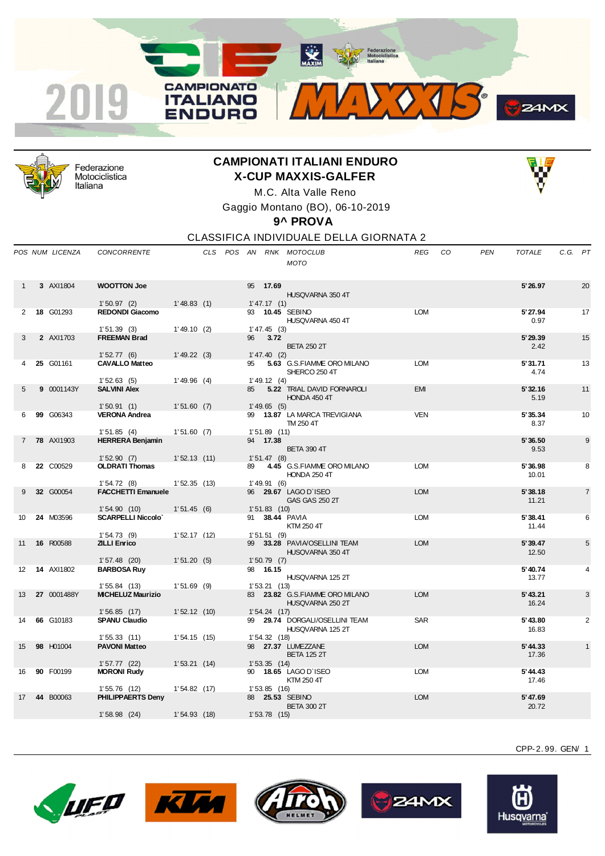



Federazione Motociclistica Italiana

## **CAMPIONATI ITALIANI ENDURO X-CUP MAXXIS-GALFER**



M.C. Alta Valle Reno Gaggio Montano (BO), 06-10-2019

**9^ PROVA**

CLASSIFICA INDIVIDUALE DELLA GIORNATA 2

|                | POS NUM LICENZA   | <b>CONCORRENTE</b>                       |               |  |    |                | CLS POS AN RNK MOTOCLUB<br><b>MOTO</b>             | <b>REG</b> | CO. | <b>PEN</b> | <b>TOTALE</b>     | C.G. PT |                |
|----------------|-------------------|------------------------------------------|---------------|--|----|----------------|----------------------------------------------------|------------|-----|------------|-------------------|---------|----------------|
|                | 3 AXI1804         | <b>WOOTTON Joe</b>                       |               |  |    | 95 17.69       | HUSQVARNA 350 4T                                   |            |     |            | 5'26.97           |         | 20             |
|                |                   | 1'50.97(2)                               | 1'48.83(1)    |  |    | 1' 47.17(1)    |                                                    |            |     |            |                   |         |                |
| 2              | 18 G01293         | <b>REDONDI Giacomo</b><br>1'51.39(3)     | 1'49.10(2)    |  |    | $1' 47.45$ (3) | 93 10.45 SEBINO<br>HUSQVARNA 450 4T                | <b>LOM</b> |     |            | 5' 27.94<br>0.97  |         | 17             |
| 3              | 2 AXI1703         | <b>FREEMAN Brad</b>                      |               |  | 96 | 3.72           | <b>BETA 250 2T</b>                                 |            |     |            | 5' 29.39<br>2.42  |         | 15             |
|                |                   | 1'52.77(6)                               | 1'49.22(3)    |  |    | 1' 47.40 (2)   |                                                    |            |     |            |                   |         |                |
|                | 25 G01161         | <b>CAVALLO Matteo</b>                    |               |  | 95 |                | 5.63 G.S.FIAMME ORO MILANO<br>SHERCO 250 4T        | <b>LOM</b> |     |            | 5'31.71<br>4.74   |         | 13             |
|                |                   | 1'52.63(5)                               | 1'49.96(4)    |  |    | $1'$ 49.12 (4) |                                                    |            |     |            |                   |         |                |
| 5              | 9 0001143Y        | <b>SALVINI Alex</b>                      |               |  | 85 |                | 5.22 TRIAL DAVID FORNAROLI<br>HONDA 450 4T         | <b>EMI</b> |     |            | 5'32.16<br>5.19   |         | 11             |
| 6              | 99 G06343         | 1'50.91(1)<br><b>VERONA Andrea</b>       | 1'51.60(7)    |  |    | 1'49.65(5)     | 99 13.87 LA MARCA TREVIGIANA                       | <b>VEN</b> |     |            | 5'35.34           |         | 10             |
|                |                   | 1'51.85(4)                               | 1'51.60(7)    |  |    | 1'51.89(11)    | TM 250 4T                                          |            |     |            | 8.37              |         |                |
| $\overline{7}$ | <b>78 AXI1903</b> | <b>HERRERA Benjamin</b>                  |               |  |    | 94 17.38       |                                                    |            |     |            | 5'36.50           |         | 9              |
|                |                   |                                          |               |  |    |                | <b>BETA 390 4T</b>                                 |            |     |            | 9.53              |         |                |
|                |                   | 1'52.90(7)                               | 1'52.13(11)   |  |    | 1'51.47(8)     |                                                    |            |     |            |                   |         |                |
| 8              | 22 C00529         | <b>OLDRATI Thomas</b>                    |               |  | 89 |                | 4.45 G.S.FIAMME ORO MILANO<br><b>HONDA 250 4T</b>  | <b>LOM</b> |     |            | 5'36.98<br>10.01  |         | 8              |
|                |                   | 1'54.72(8)                               | 1'52.35(13)   |  |    | 1'49.91(6)     |                                                    |            |     |            |                   |         |                |
| 9              | 32 G00054         | <b>FACCHETTI Emanuele</b>                |               |  |    |                | 96 29.67 LAGO D'ISEO<br><b>GAS GAS 250 2T</b>      | <b>LOM</b> |     |            | 5'38.18<br>11.21  |         | $\overline{7}$ |
| 10             | 24 M03596         | 1'54.90(10)<br><b>SCARPELLI Niccolo'</b> | 1'51.45(6)    |  | 91 | 1'51.83(10)    | 38.44 PAVIA                                        | <b>LOM</b> |     |            | 5'38.41           |         | 6              |
|                |                   | 1'54.73(9)                               | 1'52.17(12)   |  |    | 1'51.51(9)     | KTM 250 4T                                         |            |     |            | 11.44             |         |                |
| 11             | 16 R00588         | <b>ZILLI Enrico</b>                      |               |  |    |                | 99 33.28 PAVIA/OSELLINI TEAM                       | <b>LOM</b> |     |            | 5'39.47           |         | 5              |
|                |                   | 1'57.48(20)                              | 1'51.20(5)    |  |    | 1'50.79(7)     | HUSQVARNA 350 4T                                   |            |     |            | 12.50             |         |                |
| 12             | <b>14 AXI1802</b> | <b>BARBOSA Ruy</b>                       |               |  |    | 98 16.15       |                                                    |            |     |            | 5'40.74           |         | 4              |
|                |                   | 1'55.84(13)                              | $1'51.69$ (9) |  |    | 1'53.21(13)    | HUSQVARNA 125 2T                                   |            |     |            | 13.77             |         |                |
| 13             | 27 0001488Y       | <b>MICHELUZ Maurizio</b>                 |               |  |    |                | 83 23.82 G.S.FIAMME ORO MILANO<br>HUSQVARNA 250 2T | <b>LOM</b> |     |            | 5' 43.21<br>16.24 |         | 3              |
|                |                   | 1'56.85(17)                              | 1'52.12(10)   |  |    | 1'54.24(17)    |                                                    |            |     |            |                   |         |                |
| 14             | 66 G10183         | <b>SPANU Claudio</b>                     |               |  | 99 |                | 29.74 DORGALI/OSELLINI TEAM<br>HUSQVARNA 125 2T    | <b>SAR</b> |     |            | 5' 43.80<br>16.83 |         | 2              |
|                |                   | 1'55.33(11)                              | 1'54.15(15)   |  |    | 1'54.32(18)    |                                                    |            |     |            |                   |         |                |
| 15             | 98 H01004         | <b>PAVONI Matteo</b>                     |               |  |    |                | 98 27.37 LUMEZZANE<br><b>BETA 125 2T</b>           | <b>LOM</b> |     |            | 5' 44.33<br>17.36 |         | $\mathbf{1}$   |
|                |                   | 1'57.77(22)                              | 1'53.21(14)   |  |    | 1'53.35(14)    |                                                    |            |     |            |                   |         |                |
| 16             | 90 F00199         | <b>MORONI Rudy</b>                       |               |  |    |                | 90 18.65 LAGO D'ISEO<br>KTM 250 4T                 | <b>LOM</b> |     |            | 5'44.43<br>17.46  |         |                |
| 17             | 44 B00063         | 1'55.76(12)<br><b>PHILIPPAERTS Denv</b>  | 1'54.82(17)   |  |    | 1'53.85(16)    | 88 25.53 SEBINO<br><b>BETA 300 2T</b>              | <b>LOM</b> |     |            | 5' 47.69<br>20.72 |         |                |
|                |                   | $1'58.98$ (24)                           | 1'54.93(18)   |  |    | $1'53.78$ (15) |                                                    |            |     |            |                   |         |                |
|                |                   |                                          |               |  |    |                |                                                    |            |     |            |                   |         |                |











CPP-2. 99. GEN/ 1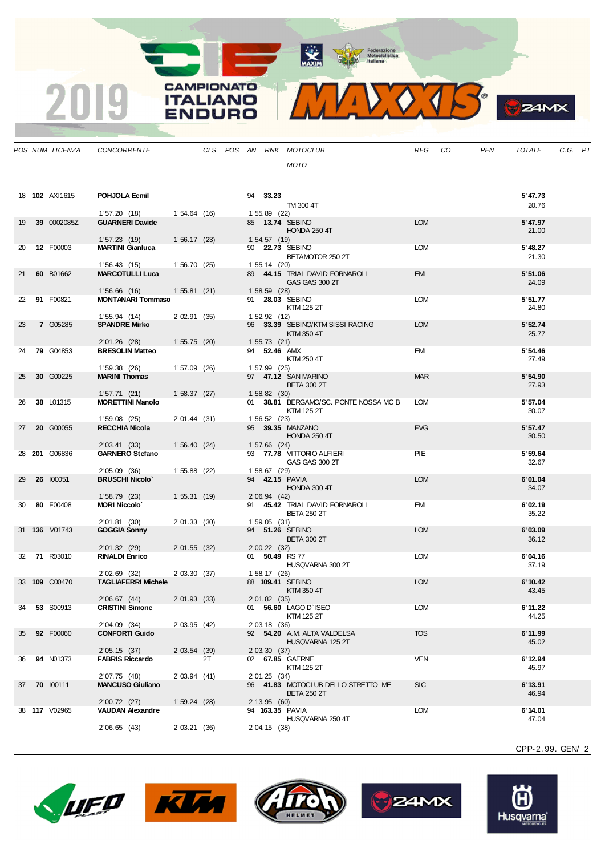MAXIM Rederazione

**CAMPIONATO** 

**ITALIANO** 

**ENDURO** 

2019



|    | POS NUM LICENZA       | <b>CONCORRENTE</b>                     |                 |    |  |                     | CLS POS AN RNK MOTOCLUB                                  | REG        | CO | PEN | TOTALE            | C.G. PT |  |
|----|-----------------------|----------------------------------------|-----------------|----|--|---------------------|----------------------------------------------------------|------------|----|-----|-------------------|---------|--|
|    |                       |                                        |                 |    |  |                     | <b>MOTO</b>                                              |            |    |     |                   |         |  |
|    |                       |                                        |                 |    |  |                     |                                                          |            |    |     |                   |         |  |
|    |                       |                                        |                 |    |  |                     |                                                          |            |    |     |                   |         |  |
|    | 18 <b>102</b> AXI1615 | POHJOLA Eemil                          |                 |    |  | 94 33.23            |                                                          |            |    |     | 5'47.73           |         |  |
|    |                       | 1'57.20(18)                            | 1'54.64(16)     |    |  | $1'55.89$ (22)      | TM 300 4T                                                |            |    |     | 20.76             |         |  |
| 19 | 39 0002085Z           | <b>GUARNERI Davide</b>                 |                 |    |  |                     | 85 13.74 SEBINO                                          | <b>LOM</b> |    |     | 5' 47.97          |         |  |
|    |                       |                                        |                 |    |  |                     | <b>HONDA 250 4T</b>                                      |            |    |     | 21.00             |         |  |
| 20 | 12 F00003             | 1'57.23(19)<br><b>MARTINI Gianluca</b> | 1'56.17(23)     |    |  | 1'54.57(19)         | 90 22.73 SEBINO                                          | <b>LOM</b> |    |     | 5' 48.27          |         |  |
|    |                       |                                        |                 |    |  |                     | BETAMOTOR 250 2T                                         |            |    |     | 21.30             |         |  |
|    |                       | 1'56.43(15)                            | 1'56.70(25)     |    |  | $1'55.14$ (20)      |                                                          |            |    |     |                   |         |  |
| 21 | 60 B01662             | <b>MARCOTULLI Luca</b>                 |                 |    |  |                     | 89 44.15 TRIAL DAVID FORNAROLI<br>GAS GAS 300 2T         | <b>EMI</b> |    |     | 5'51.06<br>24.09  |         |  |
|    |                       | 1'56.66(16)                            | 1'55.81(21)     |    |  | $1'58.59$ (28)      |                                                          |            |    |     |                   |         |  |
| 22 | 91 F00821             | <b>MONTANARI Tommaso</b>               |                 |    |  |                     | 91 28.03 SEBINO<br>KTM 125 2T                            | <b>LOM</b> |    |     | 5'51.77<br>24.80  |         |  |
|    |                       | 1'55.94(14)                            | 2'02.91(35)     |    |  | 1'52.92(12)         |                                                          |            |    |     |                   |         |  |
| 23 | 7 G05285              | <b>SPANDRE Mirko</b>                   |                 |    |  |                     | 96 33.39 SEBINO/KTM SISSI RACING                         | <b>LOM</b> |    |     | 5' 52.74          |         |  |
|    |                       | 2'01.26 (28)                           | 1'55.75(20)     |    |  | 1'55.73(21)         | KTM 350 4T                                               |            |    |     | 25.77             |         |  |
| 24 | <b>79 G04853</b>      | <b>BRESOLIN Matteo</b>                 |                 |    |  | 94 <b>52.46</b> AMX |                                                          | EMI        |    |     | 5' 54.46          |         |  |
|    |                       |                                        |                 |    |  |                     | KTM 250 4T                                               |            |    |     | 27.49             |         |  |
| 25 | 30 G00225             | 1'59.38(26)<br><b>MARINI Thomas</b>    | 1'57.09(26)     |    |  | $1'57.99$ (25)      | 97 47.12 SAN MARINO                                      | <b>MAR</b> |    |     | 5' 54.90          |         |  |
|    |                       |                                        |                 |    |  |                     | <b>BETA 300 2T</b>                                       |            |    |     | 27.93             |         |  |
|    |                       | 1'57.71(21)                            | 1'58.37(27)     |    |  | 1'58.82(30)         |                                                          |            |    |     |                   |         |  |
| 26 | 38 L01315             | <b>MORETTINI Manolo</b>                |                 |    |  |                     | 01 38.81 BERGAMO/SC. PONTE NOSSA MC B<br>KTM 125 2T      | <b>LOM</b> |    |     | 5' 57.04<br>30.07 |         |  |
|    |                       | 1'59.08(25)                            | 2' 01.44 (31)   |    |  | 1'56.52(23)         |                                                          |            |    |     |                   |         |  |
| 27 | 20 G00055             | <b>RECCHIA Nicola</b>                  |                 |    |  |                     | 95 39.35 MANZANO                                         | <b>FVG</b> |    |     | 5'57.47           |         |  |
|    |                       | 2' 03.41 (33)                          | 1'56.40(24)     |    |  | $1'57.66$ (24)      | <b>HONDA 250 4T</b>                                      |            |    |     | 30.50             |         |  |
|    | 28 <b>201 G06836</b>  | <b>GARNERO Stefano</b>                 |                 |    |  |                     | 93 77.78 VITTORIO ALFIERI                                | PIE        |    |     | 5'59.64           |         |  |
|    |                       | 2'05.09(36)                            | $1'55.88$ (22)  |    |  | $1'58.67$ (29)      | GAS GAS 300 2T                                           |            |    |     | 32.67             |         |  |
| 29 | 26 100051             | <b>BRUSCHI Nicolo'</b>                 |                 |    |  |                     | 94 42.15 PAVIA                                           | <b>LOM</b> |    |     | 6'01.04           |         |  |
|    |                       |                                        |                 |    |  |                     | HONDA 300 4T                                             |            |    |     | 34.07             |         |  |
| 30 | 80 F00408             | 1'58.79(23)<br><b>MORI Niccolo</b>     | 1'55.31(19)     |    |  | 2'06.94(42)         | 91 45.42 TRIAL DAVID FORNAROLI                           | EMI        |    |     | 6'02.19           |         |  |
|    |                       |                                        |                 |    |  |                     | <b>BETA 250 2T</b>                                       |            |    |     | 35.22             |         |  |
|    |                       | 2'01.81(30)                            | $2' 01.33$ (30) |    |  | 1'59.05(31)         |                                                          | <b>LOM</b> |    |     |                   |         |  |
|    | 31 <b>136</b> M01743  | <b>GOGGIA Sonny</b>                    |                 |    |  |                     | 94 51.26 SEBINO<br><b>BETA 300 2T</b>                    |            |    |     | 6'03.09<br>36.12  |         |  |
|    |                       | 2' 01.32 (29)                          | $2' 01.55$ (32) |    |  | $2'00.22$ (32)      |                                                          |            |    |     |                   |         |  |
| 32 | <b>71 R03010</b>      | <b>RINALDI Enrico</b>                  |                 |    |  |                     | 01 50.49 RS 77<br>HUSQVARNA 300 2T                       | <b>LOM</b> |    |     | 6'04.16<br>37.19  |         |  |
|    |                       | 2'02.69 (32)                           | 2'03.30(37)     |    |  | 1'58.17(26)         |                                                          |            |    |     |                   |         |  |
|    | 33 109 C00470         | <b>TAGLIAFERRI Michele</b>             |                 |    |  |                     | 88 109.41 SEBINO                                         | <b>LOM</b> |    |     | 6'10.42           |         |  |
|    |                       | 2'06.67(44)                            | $2' 01.93$ (33) |    |  | 2' 01.82 (35)       | KTM 350 4T                                               |            |    |     | 43.45             |         |  |
| 34 | 53 S00913             | <b>CRISTINI Simone</b>                 |                 |    |  |                     | 01 56.60 LAGO D'ISEO                                     | <b>LOM</b> |    |     | 6' 11.22          |         |  |
|    |                       |                                        |                 |    |  |                     | KTM 125 2T                                               |            |    |     | 44.25             |         |  |
| 35 | 92 F00060             | 2'04.09 (34)<br><b>CONFORTI Guido</b>  | 2' 03.95 (42)   |    |  | 2' 03.18 (36)       | 92 54.20 A.M. ALTA VALDELSA                              | <b>TOS</b> |    |     | 6'11.99           |         |  |
|    |                       |                                        |                 |    |  |                     | HUSQVARNA 125 2T                                         |            |    |     | 45.02             |         |  |
|    |                       | 2' 05.15 (37)                          | 2'03.54(39)     |    |  | 2'03.30(37)         |                                                          |            |    |     |                   |         |  |
| 36 | <b>94 N01373</b>      | <b>FABRIS Riccardo</b>                 |                 | 2T |  |                     | 02 67.85 GAERNE<br>KTM 125 2T                            | <b>VEN</b> |    |     | 6'12.94<br>45.97  |         |  |
|    |                       | 2' 07.75 (48)                          | 2'03.94(41)     |    |  | 2' 01.25 (34)       |                                                          |            |    |     |                   |         |  |
| 37 | 70 100111             | <b>MANCUSO Giuliano</b>                |                 |    |  |                     | 96 41.83 MOTOCLUB DELLO STRETTO ME<br><b>BETA 250 2T</b> | <b>SIC</b> |    |     | 6'13.91<br>46.94  |         |  |
|    |                       | 2' 00.72 (27)                          | 1'59.24(28)     |    |  | 2' 13.95 (60)       |                                                          |            |    |     |                   |         |  |
|    | 38 117 V02965         | <b>VAUDAN Alexandre</b>                |                 |    |  |                     | 94 <b>163.35</b> PAVIA                                   | LOM        |    |     | 6'14.01           |         |  |
|    |                       | 2' 06.65 (43)                          | 2'03.21(36)     |    |  | 2' 04.15 (38)       | HUSQVARNA 250 4T                                         |            |    |     | 47.04             |         |  |
|    |                       |                                        |                 |    |  |                     |                                                          |            |    |     |                   |         |  |











CPP-2. 99. GEN/ 2

**24MX**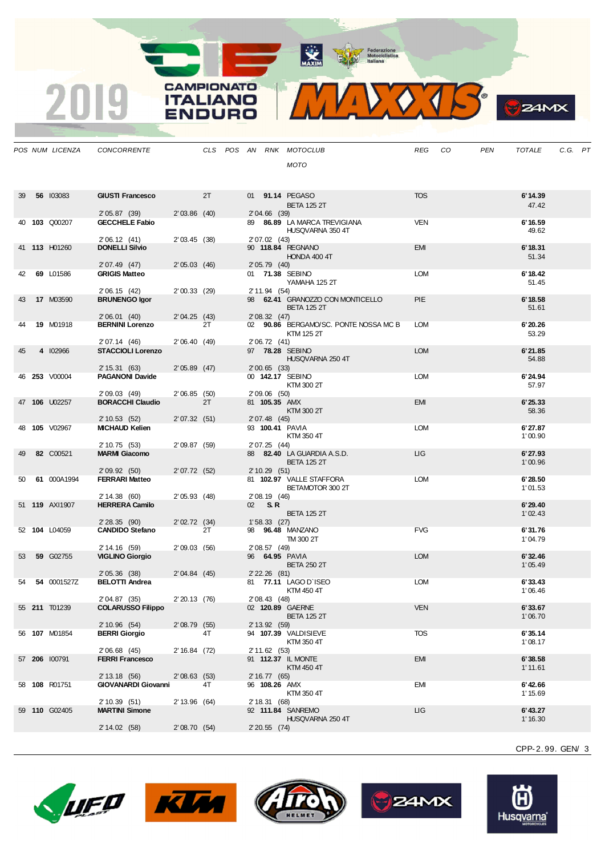**The Prederazione**<br> **The Motociclistica** 

**WAXIM** 

**CAMPIONATO ITALIANO** 

INIDC



|    | POS NUM LICENZA      | <b>CONCORRENTE</b>                       |                |    |  |                               | CLS POS AN RNK MOTOCLUB                          | <b>REG</b> | CO | <b>PEN</b> | <b>TOTALE</b>      | C.G. PT |  |
|----|----------------------|------------------------------------------|----------------|----|--|-------------------------------|--------------------------------------------------|------------|----|------------|--------------------|---------|--|
|    |                      |                                          |                |    |  |                               | <b>MOTO</b>                                      |            |    |            |                    |         |  |
|    |                      |                                          |                |    |  |                               |                                                  |            |    |            |                    |         |  |
|    |                      |                                          |                |    |  |                               |                                                  |            |    |            |                    |         |  |
| 39 | 56 103083            | <b>GIUSTI Francesco</b>                  |                | 2T |  |                               | 01 91.14 PEGASO                                  | <b>TOS</b> |    |            | 6'14.39            |         |  |
|    |                      |                                          |                |    |  | 2'04.66 (39)                  | <b>BETA 125 2T</b>                               |            |    |            | 47.42              |         |  |
|    | 40 103 Q00207        | 2'05.87(39)<br><b>GECCHELE Fabio</b>     | $2'03.86$ (40) |    |  |                               | 89 86.89 LA MARCA TREVIGIANA                     | <b>VEN</b> |    |            | 6'16.59            |         |  |
|    |                      |                                          |                |    |  |                               | HUSQVARNA 350 4T                                 |            |    |            | 49.62              |         |  |
|    |                      | 2'06.12(41)                              | 2'03.45(38)    |    |  | 2' 07.02 (43)                 |                                                  |            |    |            |                    |         |  |
|    | 41 113 H01260        | <b>DONELLI Silvio</b>                    |                |    |  |                               | 90 118.84 REGNANO<br>HONDA 400 4T                | <b>EMI</b> |    |            | 6'18.31<br>51.34   |         |  |
|    |                      | 2' 07.49 (47)                            | $2'05.03$ (46) |    |  | 2' 05.79 (40)                 |                                                  |            |    |            |                    |         |  |
| 42 | 69 L01586            | <b>GRIGIS Matteo</b>                     |                |    |  |                               | 01 71.38 SEBINO                                  | LOM        |    |            | 6'18.42            |         |  |
|    |                      | 2' 06.15 (42)                            | 2'00.33(29)    |    |  | 2' 11.94 (54)                 | YAMAHA 125 2T                                    |            |    |            | 51.45              |         |  |
| 43 | 17 M03590            | <b>BRUNENGO Igor</b>                     |                |    |  |                               | 98 62.41 GRANOZZO CON MONTICELLO                 | <b>PIE</b> |    |            | 6'18.58            |         |  |
|    |                      |                                          |                |    |  |                               | <b>BETA 125 2T</b>                               |            |    |            | 51.61              |         |  |
| 44 | 19 M01918            | 2'06.01(40)<br><b>BERNINI Lorenzo</b>    | 2'04.25(43)    | 2T |  | 2'08.32(47)                   | 02 90.86 BERGAMO/SC. PONTE NOSSA MC B            | <b>LOM</b> |    |            | 6'20.26            |         |  |
|    |                      |                                          |                |    |  |                               | KTM 125 2T                                       |            |    |            | 53.29              |         |  |
|    |                      | 2' 07.14 (46)                            | 2'06.40(49)    |    |  | 2' 06.72 (41)                 |                                                  |            |    |            |                    |         |  |
| 45 | 4 102966             | <b>STACCIOLI Lorenzo</b>                 |                |    |  |                               | 97 78.28 SEBINO                                  | <b>LOM</b> |    |            | 6'21.85            |         |  |
|    |                      | 2' 15.31 (63)                            | $2'05.89$ (47) |    |  | $2'00.65$ (33)                | HUSQVARNA 250 4T                                 |            |    |            | 54.88              |         |  |
|    | 46 253 V00004        | <b>PAGANONI Davide</b>                   |                |    |  |                               | 00 142.17 SEBINO                                 | <b>LOM</b> |    |            | 6'24.94            |         |  |
|    |                      |                                          |                |    |  |                               | KTM 300 2T                                       |            |    |            | 57.97              |         |  |
|    | 47 106 U02257        | 2'09.03(49)<br><b>BORACCHI Claudio</b>   | 2'06.85(50)    | 2T |  | 2'09.06 (50)<br>81 105.35 AMX |                                                  | <b>EMI</b> |    |            | 6'25.33            |         |  |
|    |                      |                                          |                |    |  |                               | KTM 300 2T                                       |            |    |            | 58.36              |         |  |
|    | 48 105 V02967        | 2' 10.53 (52)<br><b>MICHAUD Kelien</b>   | 2'07.32(51)    |    |  | 2' 07.48 (45)                 | 93 100.41 PAVIA                                  | <b>LOM</b> |    |            | 6'27.87            |         |  |
|    |                      |                                          |                |    |  |                               | KTM 350 4T                                       |            |    |            | 1'00.90            |         |  |
|    |                      | 2' 10.75 (53)                            | 2'09.87(59)    |    |  | 2' 07.25 (44)                 |                                                  |            |    |            |                    |         |  |
| 49 | 82 C00521            | <b>MARMI Giacomo</b>                     |                |    |  |                               | 88 82.40 LA GUARDIA A.S.D.<br><b>BETA 125 2T</b> | ЦG         |    |            | 6'27.93<br>1'00.96 |         |  |
|    |                      | 2'09.92(50)                              | 2'07.72(52)    |    |  | 2'10.29(51)                   |                                                  |            |    |            |                    |         |  |
| 50 | 61 000A1994          | <b>FERRARI Matteo</b>                    |                |    |  |                               | 81 102.97 VALLE STAFFORA                         | LOM        |    |            | 6'28.50            |         |  |
|    |                      | 2' 14.38 (60)                            | 2'05.93(48)    |    |  | 2' 08.19 (46)                 | BETAMOTOR 300 2T                                 |            |    |            | 1'01.53            |         |  |
|    | 51 119 AXI1907       | <b>HERRERA Camilo</b>                    |                |    |  | 02 S.R                        |                                                  |            |    |            | 6'29.40            |         |  |
|    |                      |                                          |                |    |  |                               | <b>BETA 125 2T</b>                               |            |    |            | 1'02.43            |         |  |
|    | 52 104 L04059        | 2'28.35(90)<br><b>CANDIDO Stefano</b>    | 2'02.72(34)    | 2T |  | 1'58.33(27)                   | 98 96.48 MANZANO                                 | <b>FVG</b> |    |            |                    |         |  |
|    |                      |                                          |                |    |  |                               | TM 300 2T                                        |            |    |            | 6'31.76<br>1'04.79 |         |  |
|    |                      | 2' 14.16 (59)                            | 2'09.03(56)    |    |  | 2' 08.57 (49)                 |                                                  |            |    |            |                    |         |  |
| 53 | 59 G02755            | <b>VIGLINO Giorgio</b>                   |                |    |  |                               | 96 64.95 PAVIA                                   | <b>LOM</b> |    |            | 6'32.46            |         |  |
|    |                      | 2'05.36(38)                              | 2'04.84(45)    |    |  | $2'$ 22.26 (81)               | <b>BETA 250 2T</b>                               |            |    |            | 1'05.49            |         |  |
| 54 | 54 0001527Z          | <b>BELOTTI Andrea</b>                    |                |    |  |                               | 81 77.11 LAGO D'ISEO                             | <b>LOM</b> |    |            | 6'33.43            |         |  |
|    |                      |                                          |                |    |  |                               | KTM 450 4T                                       |            |    |            | 1'06.46            |         |  |
|    | 55 <b>211</b> T01239 | 2'04.87 (35)<br><b>COLARUSSO Filippo</b> | $2'20.13$ (76) |    |  | 2' 08.43 (48)                 | 02 120.89 GAERNE                                 | <b>VEN</b> |    |            | 6'33.67            |         |  |
|    |                      |                                          |                |    |  |                               | <b>BETA 125 2T</b>                               |            |    |            | 1'06.70            |         |  |
|    |                      | 2' 10.96 (54)                            | $2'08.79$ (55) |    |  | 2' 13.92 (59)                 |                                                  |            |    |            |                    |         |  |
|    | 56 <b>107</b> M01854 | <b>BERRI Giorgio</b>                     |                | 4T |  |                               | 94 107.39 VALDISIEVE<br>KTM 350 4T               | <b>TOS</b> |    |            | 6'35.14<br>1'08.17 |         |  |
|    |                      | 2'06.68(45)                              | 2'16.84(72)    |    |  | 2' 11.62 (53)                 |                                                  |            |    |            |                    |         |  |
|    | 57 206 100791        | <b>FERRI Francesco</b>                   |                |    |  |                               | 91 112.37 IL MONTE                               | <b>EMI</b> |    |            | 6'38.58            |         |  |
|    |                      | 2' 13.18 (56)                            | 2'08.63(53)    |    |  | 2' 16.77 (65)                 | KTM 450 4T                                       |            |    |            | 1'11.61            |         |  |
|    | 58 108 R01751        | <b>GIOVANARDI Giovanni</b>               |                | 4T |  | 96 108.26 AMX                 |                                                  | <b>EMI</b> |    |            | 6'42.66            |         |  |

CPP-2. 99. GEN/ 3

 $24MX$ 





2' 10.39 (51) 2' 13.96 (64)<br>**MARTINI Simone** 

2' 14.02 (58) 2' 08.70 (54)



58 **108** R01751 **GIOVANARDI Giovanni** 4T 96 **108.26** AMX EMI **6'42.66** KTM 350 4T<br>2' 18.31 (68)

59 **110** G02405 **MARTINI Simone** 92 **111.84** SANREMO LIG **6'43.27** HUSQVARNA 250 4T<br>2' 20.55 (74)



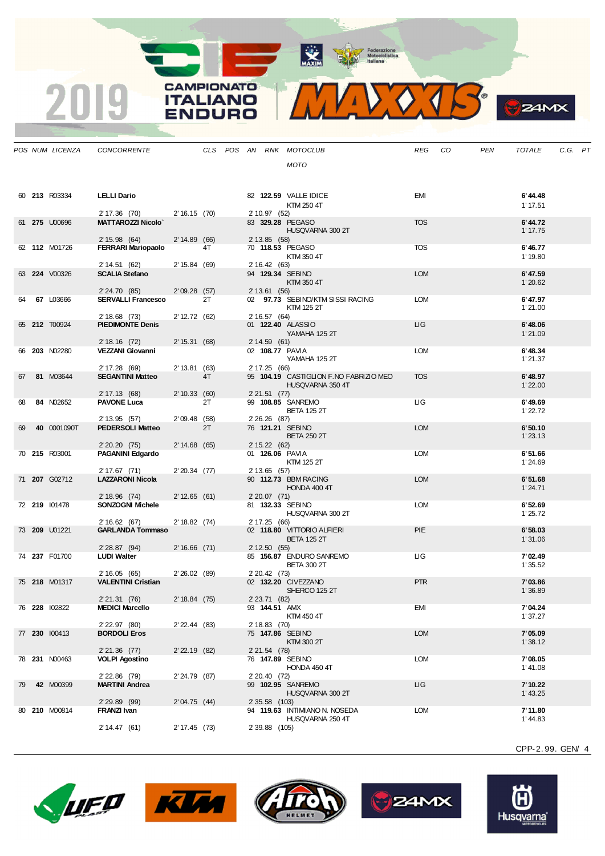MAXIM BOOR Motociclistica

**CAMPIONATO** 

**ITALIANO** ENDURO

2019



| a.<br>U.<br>uп<br>с |
|---------------------|
|                     |

|    | POS NUM LICENZA | CONCORRENTE                              |                   |    |  |                | CLS POS AN RNK MOTOCLUB                 | <b>REG</b> | CO | <b>PEN</b> | <b>TOTALE</b>       | C.G. PT |  |
|----|-----------------|------------------------------------------|-------------------|----|--|----------------|-----------------------------------------|------------|----|------------|---------------------|---------|--|
|    |                 |                                          |                   |    |  |                | <b>MOTO</b>                             |            |    |            |                     |         |  |
|    |                 |                                          |                   |    |  |                |                                         |            |    |            |                     |         |  |
|    |                 |                                          |                   |    |  |                |                                         |            |    |            |                     |         |  |
|    | 60 213 R03334   | <b>LELLI Dario</b>                       |                   |    |  |                | 82 122.59 VALLE IDICE<br>KTM 250 4T     | <b>EMI</b> |    |            | 6'44.48<br>1'17.51  |         |  |
|    |                 | 2' 17.36 (70)                            | 2'16.15(70)       |    |  | 2' 10.97 (52)  |                                         |            |    |            |                     |         |  |
|    | 61 275 U00696   | <b>MATTAROZZI Nicolo'</b>                |                   |    |  |                | 83 329.28 PEGASO<br>HUSQVARNA 300 2T    | <b>TOS</b> |    |            | 6'44.72<br>1' 17.75 |         |  |
|    |                 | 2' 15.98 (64)                            | 2'14.89(66)       |    |  | 2' 13.85 (58)  |                                         |            |    |            |                     |         |  |
|    | 62 112 M01726   | <b>FERRARI Mariopaolo</b>                |                   | 4T |  |                | 70 118.53 PEGASO                        | <b>TOS</b> |    |            | 6'46.77             |         |  |
|    |                 | 2' 14.51 (62)                            | 2' 15.84 (69)     |    |  | 2' 16.42 (63)  | KTM 350 4T                              |            |    |            | 1'19.80             |         |  |
|    | 63 224 V00326   | <b>SCALIA Stefano</b>                    |                   |    |  |                | 94 129.34 SEBINO                        | <b>LOM</b> |    |            | 6'47.59             |         |  |
|    |                 | 2' 24.70 (85)                            | 2'09.28(57)       |    |  | 2' 13.61 (56)  | KTM 350 4T                              |            |    |            | 1'20.62             |         |  |
|    | 67 L03666       | <b>SERVALLI Francesco</b>                |                   | 2T |  |                | 02 97.73 SEBINO/KTM SISSI RACING        | <b>LOM</b> |    |            | 6'47.97             |         |  |
|    |                 |                                          |                   |    |  |                | KTM 125 2T                              |            |    |            | 1'21.00             |         |  |
|    | 65 212 T00924   | 2' 18.68 (73)<br><b>PIEDIMONTE Denis</b> | 2' 12.72 (62)     |    |  | 2' 16.57 (64)  | 01 122.40 ALASSIO                       | LIG        |    |            | 6'48.06             |         |  |
|    |                 |                                          |                   |    |  |                | YAMAHA 125 2T                           |            |    |            | 1'21.09             |         |  |
|    | 66 203 N02280   | 2' 18.16 (72)<br><b>VEZZANI Giovanni</b> | 2' 15.31 (68)     |    |  | 2'14.59(61)    | 02 108.77 PAVIA                         | <b>LOM</b> |    |            | 6'48.34             |         |  |
|    |                 |                                          |                   |    |  |                | YAMAHA 125 2T                           |            |    |            | 1'21.37             |         |  |
| 67 | 81 M03644       | 2' 17.28 (69)<br><b>SEGANTINI Matteo</b> | 2' 13.81 (63)     | 4T |  | 2' 17.25 (66)  | 95 104.19 CASTIGLION F.NO FABRIZIO MEO  | <b>TOS</b> |    |            | 6'48.97             |         |  |
|    |                 |                                          |                   |    |  |                | HUSQVARNA 350 4T                        |            |    |            | 1'22.00             |         |  |
|    |                 | 2' 17.13 (68)                            | 2' 10.33 (60)     |    |  | $2'21.51$ (77) |                                         |            |    |            |                     |         |  |
| 68 | 84 N02652       | <b>PAVONE Luca</b>                       |                   | 2T |  |                | 99 108.85 SANREMO<br><b>BETA 125 2T</b> | ЦG         |    |            | 6'49.69<br>1'22.72  |         |  |
|    |                 | 2' 13.95 (57)                            | $2'09.48$ (58)    |    |  | 2' 26.26 (87)  |                                         |            |    |            |                     |         |  |
| 69 | 40 0001090T     | <b>PEDERSOLI Matteo</b>                  |                   | 2T |  |                | 76 121.21 SEBINO<br><b>BETA 250 2T</b>  | <b>LOM</b> |    |            | 6'50.10<br>1'23.13  |         |  |
|    |                 | 2' 20.20 (75)                            | 2' 14.68 (65)     |    |  | 2' 15.22 (62)  |                                         |            |    |            |                     |         |  |
|    | 70 215 R03001   | <b>PAGANINI Edgardo</b>                  |                   |    |  |                | 01 126.06 PAVIA<br>KTM 125 2T           | <b>LOM</b> |    |            | 6'51.66<br>1'24.69  |         |  |
|    |                 | 2' 17.67 (71)                            | $2'20.34$ (77)    |    |  | 2' 13.65 (57)  |                                         |            |    |            |                     |         |  |
|    | 71 207 G02712   | <b>LAZZARONI Nicola</b>                  |                   |    |  |                | 90 112.73 BBM RACING<br>HONDA 400 4T    | <b>LOM</b> |    |            | 6'51.68<br>1'24.71  |         |  |
|    |                 | 2' 18.96 (74)                            | 2' 12.65 (61)     |    |  | $2'20.07$ (71) |                                         |            |    |            |                     |         |  |
|    | 72 219 101478   | <b>SONZOGNI Michele</b>                  |                   |    |  |                | 81 132.33 SEBINO                        | <b>LOM</b> |    |            | 6'52.69             |         |  |
|    |                 | 2' 16.62 (67)                            | 2' 18.82 (74)     |    |  | 2' 17.25 (66)  | HUSQVARNA 300 2T                        |            |    |            | 1'25.72             |         |  |
|    | 73 209 U01221   | <b>GARLANDA Tommaso</b>                  |                   |    |  |                | 02 118.80 VITTORIO ALFIERI              | <b>PIE</b> |    |            | 6'58.03             |         |  |
|    |                 | 2'28.87(94)                              | $2'16.66$ (71)    |    |  | 2' 12.50 (55)  | <b>BETA 125 2T</b>                      |            |    |            | 1'31.06             |         |  |
|    | 74 237 F01700   | <b>LUDI Walter</b>                       |                   |    |  |                | 85 156.87 ENDURO SANREMO                | <b>LIG</b> |    |            | 7'02.49             |         |  |
|    |                 | 2' 16.05 (65)                            | 2'26.02(89)       |    |  | 2' 20.42 (73)  | <b>BETA 300 2T</b>                      |            |    |            | 1'35.52             |         |  |
|    | 75 218 M01317   | <b>VALENTINI Cristian</b>                |                   |    |  |                | 02 132.20 CIVEZZANO                     | <b>PTR</b> |    |            | 7'03.86             |         |  |
|    |                 |                                          | 2' 18.84 (75)     |    |  | 2' 23.71 (82)  | SHERCO 125 2T                           |            |    |            | 1'36.89             |         |  |
|    | 76 228 102822   | 2' 21.31 (76)<br><b>MEDICI Marcello</b>  |                   |    |  | 93 144.51 AMX  |                                         | EMI        |    |            | 7'04.24             |         |  |
|    |                 |                                          |                   |    |  |                | KTM 450 4T                              |            |    |            | 1'37.27             |         |  |
|    | 77 230 100413   | 2' 22.97 (80)<br><b>BORDOLI Eros</b>     | $2'$ 22.44 (83)   |    |  | 2' 18.83 (70)  | 75 147.86 SEBINO                        | <b>LOM</b> |    |            | 7'05.09             |         |  |
|    |                 |                                          |                   |    |  |                | KTM 300 2T                              |            |    |            | 1'38.12             |         |  |
|    | 78 231 N00463   | 2' 21.36 (77)<br><b>VOLPI Agostino</b>   | $2'$ 22.19 $(82)$ |    |  | $2'21.54$ (78) | 76 147.89 SEBINO                        | <b>LOM</b> |    |            | 7'08.05             |         |  |
|    |                 |                                          |                   |    |  |                | HONDA 450 4T                            |            |    |            | 1' 41.08            |         |  |
| 79 | 42 M00399       | 2' 22.86 (79)<br><b>MARTINI Andrea</b>   | 2'24.79 (87)      |    |  | 2' 20.40 (72)  | 99 102.95 SANREMO                       | ЦG         |    |            | 7' 10.22            |         |  |
|    |                 |                                          |                   |    |  |                | HUSQVARNA 300 2T                        |            |    |            | 1' 43.25            |         |  |
|    | 80 210 M00814   | 2' 29.89 (99)<br>FRANZI Ivan             | 2'04.75(44)       |    |  | 2' 35.58 (103) | 94 119.63 INTIMIANO N. NOSEDA           | <b>LOM</b> |    |            | 7'11.80             |         |  |
|    |                 |                                          |                   |    |  |                | HUSQVARNA 250 4T                        |            |    |            | 1' 44.83            |         |  |
|    |                 | 2' 14.47 (61)                            | 2' 17.45 (73)     |    |  | 2' 39.88 (105) |                                         |            |    |            |                     |         |  |
|    |                 |                                          |                   |    |  |                |                                         |            |    |            |                     |         |  |











CPP-2. 99. GEN/ 4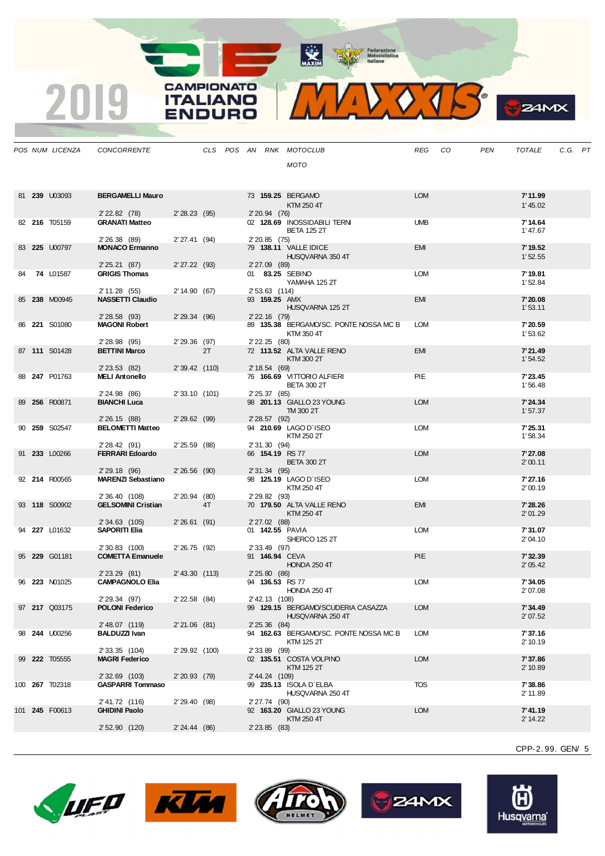MAXIM Rederazione



|    | POS NUM LICENZA       | <b>CONCORRENTE</b>                        |                |    |  |                                 | CLS POS AN RNK MOTOCLUB                                | REG        | - CO | <b>PEN</b> | <b>TOTALE</b>       | C.G. PT |  |
|----|-----------------------|-------------------------------------------|----------------|----|--|---------------------------------|--------------------------------------------------------|------------|------|------------|---------------------|---------|--|
|    |                       |                                           |                |    |  |                                 | MOTO                                                   |            |      |            |                     |         |  |
|    |                       |                                           |                |    |  |                                 |                                                        |            |      |            |                     |         |  |
|    |                       |                                           |                |    |  |                                 |                                                        | <b>LOM</b> |      |            |                     |         |  |
|    | 81 239 U03093         | <b>BERGAMELLI Mauro</b>                   |                |    |  |                                 | 73 159.25 BERGAMO<br>KTM 250 4T                        |            |      |            | 7'11.99<br>1'45.02  |         |  |
|    |                       | 2' 22.82 (78)                             | 2'28.23(95)    |    |  | 2' 20.94 (76)                   |                                                        |            |      |            |                     |         |  |
|    | 82 216 T05159         | <b>GRANATI Matteo</b>                     |                |    |  |                                 | 02 128.69 INOSSIDABILI TERNI<br><b>BETA 125 2T</b>     | <b>UMB</b> |      |            | 7' 14.64<br>1'47.67 |         |  |
|    |                       | 2' 26.38 (89)                             | 2'27.41(94)    |    |  | $2'20.85$ (75)                  |                                                        |            |      |            |                     |         |  |
|    | 83 225 U00797         | <b>MONACO Ermanno</b>                     |                |    |  |                                 | 79 138.11 VALLE IDICE                                  | <b>EMI</b> |      |            | 7' 19.52            |         |  |
|    |                       | 2' 25.21 (87)                             | $2'27.22$ (93) |    |  | 2' 27.09 (89)                   | HUSQVARNA 350 4T                                       |            |      |            | 1'52.55             |         |  |
| 84 | <b>74 L01587</b>      | <b>GRIGIS Thomas</b>                      |                |    |  |                                 | 01 83.25 SEBINO                                        | <b>LOM</b> |      |            | 7' 19.81            |         |  |
|    |                       |                                           |                |    |  |                                 | YAMAHA 125 2T                                          |            |      |            | 1'52.84             |         |  |
|    | 85 238 M00945         | 2' 11.28 (55)<br><b>NASSETTI Claudio</b>  | 2' 14.90 (67)  |    |  | 2' 53.63 (114)<br>93 159.25 AMX |                                                        | <b>EMI</b> |      |            | 7'20.08             |         |  |
|    |                       |                                           |                |    |  |                                 | HUSQVARNA 125 2T                                       |            |      |            | 1'53.11             |         |  |
|    | 86 221 S01080         | 2'28.58(93)<br><b>MAGONI Robert</b>       | 2'29.34(96)    |    |  | 2' 22.16 (79)                   | 89 135.38 BERGAMO/SC. PONTE NOSSA MC B                 | LOM        |      |            | 7'20.59             |         |  |
|    |                       |                                           |                |    |  |                                 | KTM 350 4T                                             |            |      |            | 1'53.62             |         |  |
|    | 87 111 S01428         | 2' 28.98 (95)<br><b>BETTINI Marco</b>     | $2'29.36$ (97) | 2T |  | 2' 22.25 (80)                   | 72 113.52 ALTA VALLE RENO                              | <b>EMI</b> |      |            | 7'21.49             |         |  |
|    |                       |                                           |                |    |  |                                 | KTM 300 2T                                             |            |      |            | 1'54.52             |         |  |
|    |                       | 2' 23.53 (82)                             | 2'39.42 (110)  |    |  | 2' 18.54 (69)                   |                                                        |            |      |            |                     |         |  |
|    | 88 247 P01763         | <b>MELI Antonello</b>                     |                |    |  |                                 | 76 166.69 VITTORIO ALFIERI<br><b>BETA 300 2T</b>       | PIE        |      |            | 7'23.45<br>1'56.48  |         |  |
|    |                       | 2' 24.98 (86)                             | 2'33.10(101)   |    |  | 2' 25.37 (85)                   |                                                        |            |      |            |                     |         |  |
|    | 89 256 R00871         | <b>BIANCHI Luca</b>                       |                |    |  |                                 | 98 201.13 GIALLO 23 YOUNG<br>TM 300 2T                 | <b>LOM</b> |      |            | 7'24.34<br>1'57.37  |         |  |
|    |                       | 2' 26.15 (88)                             | $2'29.62$ (99) |    |  | 2' 28.57 (92)                   |                                                        |            |      |            |                     |         |  |
|    | 90 259 S02547         | <b>BELOMETTI Matteo</b>                   |                |    |  |                                 | 94 210.69 LAGO D'ISEO                                  | <b>LOM</b> |      |            | 7'25.31             |         |  |
|    |                       | 2' 28.42 (91)                             | $2'25.59$ (88) |    |  | 2' 31.30 (94)                   | KTM 250 2T                                             |            |      |            | 1'58.34             |         |  |
|    | 91 233 L00266         | <b>FERRARI Edoardo</b>                    |                |    |  |                                 | 66 154.19 RS 77                                        | <b>LOM</b> |      |            | 7'27.08             |         |  |
|    |                       | 2'29.18(96)                               | 2'26.56(90)    |    |  | 2'31.34(95)                     | <b>BETA 300 2T</b>                                     |            |      |            | 2'00.11             |         |  |
|    | 92 214 R00565         | <b>MARENZI Sebastiano</b>                 |                |    |  |                                 | 98 125.19 LAGO D'ISEO                                  | <b>LOM</b> |      |            | 7'27.16             |         |  |
|    |                       | 2' 36.40 (108)                            | $2'20.94$ (80) |    |  | 2' 29.82 (93)                   | KTM 250 4T                                             |            |      |            | 2'00.19             |         |  |
|    | 93 118 S00902         | <b>GELSOMINI Cristian</b>                 |                | 4T |  |                                 | 70 179.50 ALTA VALLE RENO                              | <b>EMI</b> |      |            | 7'28.26             |         |  |
|    |                       |                                           |                |    |  |                                 | KTM 250 4T                                             |            |      |            | 2'01.29             |         |  |
|    | 94 227 L01632         | 2' 34.63 (105)<br><b>SAPORITI Elia</b>    | $2'26.61$ (91) |    |  | 2' 27.02 (88)                   | 01 142.55 PAVIA                                        | LOM        |      |            | 7'31.07             |         |  |
|    |                       |                                           |                |    |  |                                 | SHERCO 125 2T                                          |            |      |            | 2'04.10             |         |  |
|    | 95 229 G01181         | 2' 30.83 (100)<br><b>COMETTA Emanuele</b> | 2'26.75(92)    |    |  | 2' 33.49 (97)                   | 91 146.94 CEVA                                         | <b>PIE</b> |      |            | 7'32.39             |         |  |
|    |                       |                                           |                |    |  |                                 | <b>HONDA 250 4T</b>                                    |            |      |            | 2'05.42             |         |  |
|    |                       | 2' 23.29 (81)                             | 2' 43.30 (113) |    |  | 2' 25.80 (86)                   |                                                        |            |      |            |                     |         |  |
|    | 96 223 N01025         | <b>CAMPAGNOLO Elia</b>                    |                |    |  |                                 | 94 136.53 RS 77<br><b>HONDA 250 4T</b>                 | <b>LOM</b> |      |            | 7'34.05<br>2'07.08  |         |  |
|    |                       | 2' 29.34 (97)                             | 2' 22.58 (84)  |    |  | 2' 42.13 (108)                  |                                                        |            |      |            |                     |         |  |
|    | 97 217 Q03175         | <b>POLONI Federico</b>                    |                |    |  |                                 | 99 129.15 BERGAMO/SCUDERIA CASAZZA<br>HUSQVARNA 250 4T | <b>LOM</b> |      |            | 7'34.49<br>2'07.52  |         |  |
|    |                       | 2' 48.07 (119)                            | $2'21.06$ (81) |    |  | $2' 25.36$ (84)                 |                                                        |            |      |            |                     |         |  |
|    | 98 <b>244 U00256</b>  | <b>BALDUZZI Ivan</b>                      |                |    |  |                                 | 94 162.63 BERGAMO/SC. PONTE NOSSA MC B<br>KTM 125 2T   | LOM        |      |            | 7'37.16<br>2' 10.19 |         |  |
|    |                       | 2' 33.35 (104)                            | 2' 29.92 (100) |    |  | 2' 33.89 (99)                   |                                                        |            |      |            |                     |         |  |
|    | 99 222 T05555         | <b>MAGRI Federico</b>                     |                |    |  |                                 | 02 135.51 COSTA VOLPINO                                | <b>LOM</b> |      |            | 7'37.86             |         |  |
|    |                       | 2' 32.69 (103)                            | 2'20.93(79)    |    |  | 2' 44.24 (109)                  | KTM 125 2T                                             |            |      |            | 2' 10.89            |         |  |
|    | 100 <b>267</b> T02318 | <b>GASPARRI Tommaso</b>                   |                |    |  |                                 | 99 235.13 ISOLA D`ELBA                                 | <b>TOS</b> |      |            | 7'38.86             |         |  |
|    |                       | 2' 41.72 (116)                            | 2'29.40(98)    |    |  | 2' 27.74 (90)                   | HUSQVARNA 250 4T                                       |            |      |            | 2' 11.89            |         |  |
|    | 101 245 F00613        | <b>GHIDINI Paolo</b>                      |                |    |  |                                 | 92 163.20 GIALLO 23 YOUNG                              | <b>LOM</b> |      |            | 7'41.19             |         |  |
|    |                       |                                           |                |    |  |                                 | KTM 250 4T                                             |            |      |            | 2' 14.22            |         |  |
|    |                       | 2' 52.90 (120)                            | 2'24.44(86)    |    |  | $2'$ 23.85 (83)                 |                                                        |            |      |            |                     |         |  |

CPP-2. 99. GEN/ 5

 $24MX$ 





**CAMPIONATO** 

**ITALIANO** 

**ENDURO** 

2019





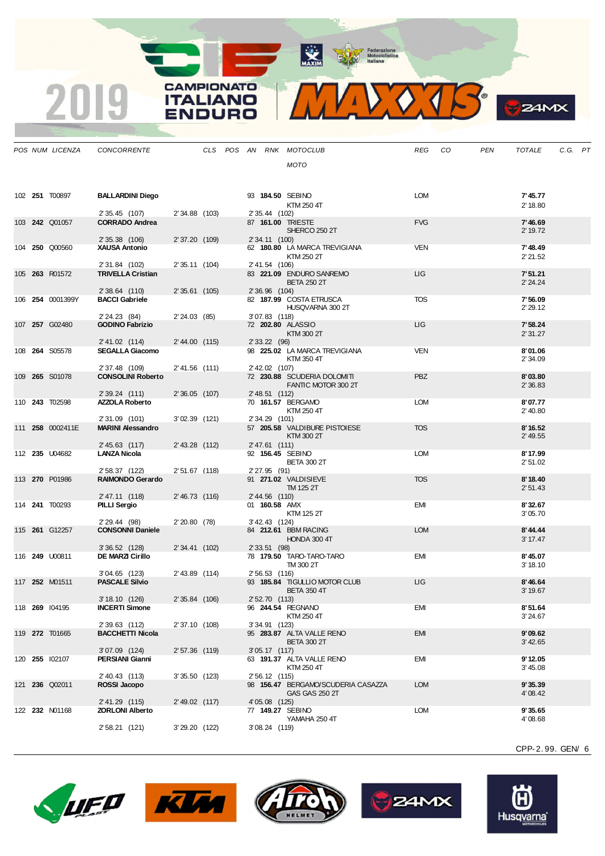MAXIM BOOR Motociclistica

**CAMPIONATO** 

**ITALIANO** ENDURO

2019



| Æ |
|---|
|   |

|  | POS NUM LICENZA       | <b>CONCORRENTE</b>                      |                 |  |                 | CLS POS AN RNK MOTOCLUB                              | <b>REG</b> | CO | <b>PEN</b> | <b>TOTALE</b>         | C.G. PT |  |
|--|-----------------------|-----------------------------------------|-----------------|--|-----------------|------------------------------------------------------|------------|----|------------|-----------------------|---------|--|
|  |                       |                                         |                 |  |                 | <b>MOTO</b>                                          |            |    |            |                       |         |  |
|  |                       |                                         |                 |  |                 |                                                      |            |    |            |                       |         |  |
|  | 102 251 T00897        | <b>BALLARDINI Diego</b>                 |                 |  |                 | 93 184,50 SEBINO                                     | LOM        |    |            | 7'45.77               |         |  |
|  |                       |                                         |                 |  |                 | KTM 250 4T                                           |            |    |            | 2' 18.80              |         |  |
|  | 103 242 Q01057        | 2' 35.45 (107)<br><b>CORRADO Andrea</b> | 2' 34.88 (103)  |  | 2' 35.44 (102)  | 87 161.00 TRIESTE                                    | <b>FVG</b> |    |            | 7'46.69               |         |  |
|  |                       | 2' 35.38 (106)                          | 2' 37.20 (109)  |  | 2' 34.11 (100)  | SHERCO 250 2T                                        |            |    |            | 2' 19.72              |         |  |
|  | 104 250 Q00560        | <b>XAUSA Antonio</b>                    |                 |  |                 | 62 180.80 LA MARCA TREVIGIANA                        | <b>VEN</b> |    |            | 7'48.49               |         |  |
|  |                       | 2' 31.84 (102)                          | 2'35.11(104)    |  | 2' 41.54 (106)  | KTM 250 2T                                           |            |    |            | 2'21.52               |         |  |
|  | 105 263 R01572        | <b>TRIVELLA Cristian</b>                |                 |  |                 | 83 221.09 ENDURO SANREMO                             | ЦG         |    |            | 7'51.21               |         |  |
|  |                       | 2' 38.64 (110)                          | $2'35.61$ (105) |  | 2' 36.96 (104)  | <b>BETA 250 2T</b>                                   |            |    |            | 2' 24.24              |         |  |
|  | 106 254 0001399Y      | <b>BACCI Gabriele</b>                   |                 |  |                 | 82 187.99 COSTA ETRUSCA                              | <b>TOS</b> |    |            | 7'56.09               |         |  |
|  |                       | 2' 24.23 (84)                           | 2'24.03(85)     |  | $3'07.83$ (118) | HUSQVARNA 300 2T                                     |            |    |            | 2' 29.12              |         |  |
|  | 107 257 G02480        | <b>GODINO Fabrizio</b>                  |                 |  |                 | 72 202.80 ALASSIO                                    | LIG        |    |            | 7'58.24               |         |  |
|  |                       | 2' 41.02 (114)                          | 2' 44.00 (115)  |  | 2' 33.22 (96)   | KTM 300 2T                                           |            |    |            | 2'31.27               |         |  |
|  | 108 264 S05578        | <b>SEGALLA Giacomo</b>                  |                 |  |                 | 98 225.02 LA MARCA TREVIGIANA<br>KTM 350 4T          | <b>VEN</b> |    |            | 8'01.06<br>2' 34.09   |         |  |
|  |                       | 2' 37.48 (109)                          | 2' 41.56 (111)  |  | 2' 42.02 (107)  |                                                      |            |    |            |                       |         |  |
|  | 109 265 S01078        | <b>CONSOLINI Roberto</b>                |                 |  |                 | 72 230.88 SCUDERIA DOLOMITI<br>FANTIC MOTOR 300 2T   | <b>PBZ</b> |    |            | 8'03.80<br>2'36.83    |         |  |
|  |                       | 2' 39.24 (111)                          | $2'36.05$ (107) |  | 2' 48.51 (112)  |                                                      |            |    |            |                       |         |  |
|  | 110 243 T02598        | <b>AZZOLA Roberto</b>                   |                 |  |                 | 70 161.57 BERGAMO<br>KTM 250 4T                      | <b>LOM</b> |    |            | 8'07.77<br>2' 40.80   |         |  |
|  |                       | 2'31.09 (101)                           | 3'02.39 (121)   |  | 2' 34.29 (101)  |                                                      |            |    |            |                       |         |  |
|  | 111 258 0002411E      | <b>MARINI Alessandro</b>                |                 |  |                 | 57 205.58 VALDIBURE PISTOIESE<br>KTM 300 2T          | <b>TOS</b> |    |            | 8'16.52<br>$2'$ 49.55 |         |  |
|  | 112 235 U04682        | 2' 45.63 (117)<br><b>LANZA Nicola</b>   | 2' 43.28 (112)  |  | 2' 47.61 (111)  | 92 156.45 SEBINO                                     | <b>LOM</b> |    |            | 8'17.99               |         |  |
|  |                       |                                         |                 |  |                 | <b>BETA 300 2T</b>                                   |            |    |            | 2' 51.02              |         |  |
|  | 113 270 P01986        | 2' 58.37 (122)<br>RAIMONDO Gerardo      | 2'51.67 (118)   |  | 2' 27.95 (91)   | 91 271.02 VALDISIEVE                                 | <b>TOS</b> |    |            | 8'18.40               |         |  |
|  |                       |                                         |                 |  |                 | TM 125 2T                                            |            |    |            | 2' 51.43              |         |  |
|  | 114 <b>241</b> T00293 | 2' 47.11 (118)<br>PILLI Sergio          | 2'46.73 (116)   |  | 2' 44.56 (110)  | 01 160.58 AMX                                        | <b>EMI</b> |    |            | 8'32.67               |         |  |
|  |                       | 2' 29.44 (98)                           | 2'20.80(78)     |  | 3' 42.43 (124)  | KTM 125 2T                                           |            |    |            | 3'05.70               |         |  |
|  | 115 261 G12257        | <b>CONSONNI Daniele</b>                 |                 |  |                 | 84 212.61 BBM RACING                                 | <b>LOM</b> |    |            | 8'44.44               |         |  |
|  |                       | $3'36.52$ (128)                         | 2' 34.41 (102)  |  | 2' 33.51 (98)   | HONDA 300 4T                                         |            |    |            | 3' 17.47              |         |  |
|  | 116 249 U00811        | <b>DE MARZI Cirillo</b>                 |                 |  |                 | 78 179.50 TARO-TARO-TARO                             | <b>EMI</b> |    |            | 8'45.07               |         |  |
|  |                       | $3'04.65$ (123)                         | 2' 43.89 (114)  |  | 2' 56.53 (116)  | TM 300 2T                                            |            |    |            | 3' 18.10              |         |  |
|  | 117 252 M01511        | <b>PASCALE Silvio</b>                   |                 |  |                 | 93 185.84 TIGULLIO MOTOR CLUB                        | ЦG         |    |            | 8'46.64               |         |  |
|  |                       | 3' 18.10 (126)                          | 2' 35.84 (106)  |  | 2' 52.70 (113)  | <b>BETA 350 4T</b>                                   |            |    |            | 3' 19.67              |         |  |
|  | 118 269 104195        | <b>INCERTI Simone</b>                   |                 |  |                 | 96 244.54 REGNANO<br>KTM 250 4T                      | <b>EMI</b> |    |            | 8'51.64<br>3'24.67    |         |  |
|  |                       | 2'39.63 (112)                           | 2' 37.10 (108)  |  | 3'34.91 (123)   |                                                      |            |    |            |                       |         |  |
|  | 119 272 T01665        | <b>BACCHETTI Nicola</b>                 |                 |  |                 | 95 283.87 ALTA VALLE RENO<br><b>BETA 300 2T</b>      | <b>EMI</b> |    |            | 9'09.62<br>3' 42.65   |         |  |
|  |                       | 3'07.09 (124)                           | $2'57.36$ (119) |  | 3'05.17(117)    |                                                      |            |    |            |                       |         |  |
|  | 120 255 102107        | PERSIANI Gianni                         |                 |  |                 | 63 191.37 ALTA VALLE RENO<br>KTM 250 4T              | EMI        |    |            | 9'12.05<br>3' 45.08   |         |  |
|  |                       | 2' 40.43 (113)<br>ROSSI Jacopo          | 3'35.50(123)    |  | 2' 56.12 (115)  |                                                      |            |    |            |                       |         |  |
|  | 121 236 Q02011        |                                         |                 |  |                 | 98 156.47 BERGAMO/SCUDERIA CASAZZA<br>GAS GAS 250 2T | <b>LOM</b> |    |            | 9'35.39<br>4' 08.42   |         |  |
|  | 122 232 N01168        | 2' 41.29 (115)<br>ZORLONI Alberto       | 2' 49.02 (117)  |  | 4' 05.08 (125)  | 77 149.27 SEBINO                                     | LOM        |    |            | 9'35.65               |         |  |
|  |                       |                                         |                 |  |                 | YAMAHA 250 4T                                        |            |    |            | 4'08.68               |         |  |
|  |                       | 2' 58.21 (121)                          | 3'29.20 (122)   |  | 3' 08.24 (119)  |                                                      |            |    |            |                       |         |  |